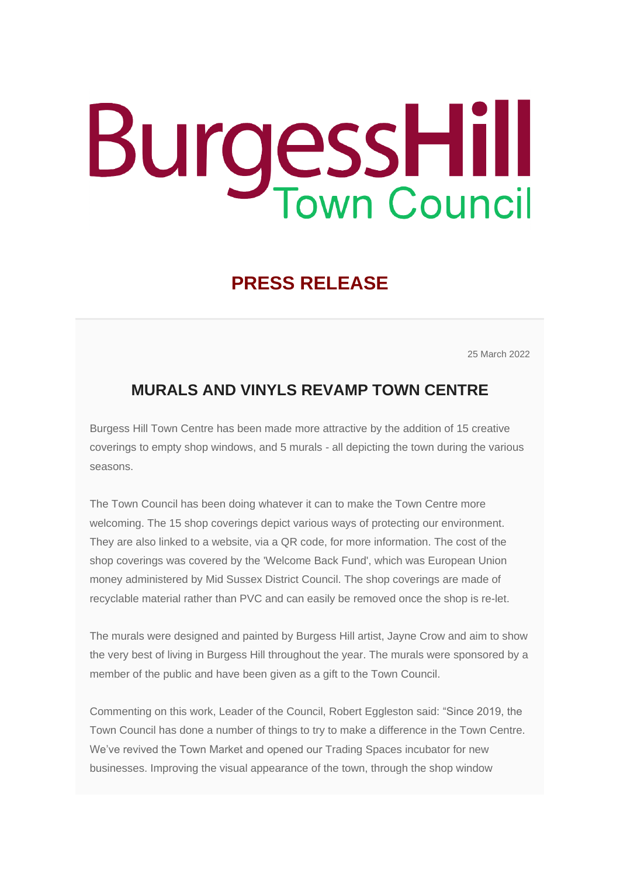## **BurgessHill**

## **PRESS RELEASE**

25 March 2022

## **MURALS AND VINYLS REVAMP TOWN CENTRE**

Burgess Hill Town Centre has been made more attractive by the addition of 15 creative coverings to empty shop windows, and 5 murals - all depicting the town during the various seasons.

The Town Council has been doing whatever it can to make the Town Centre more welcoming. The 15 shop coverings depict various ways of protecting our environment. They are also linked to a website, via a QR code, for more information. The cost of the shop coverings was covered by the 'Welcome Back Fund', which was European Union money administered by Mid Sussex District Council. The shop coverings are made of recyclable material rather than PVC and can easily be removed once the shop is re-let.

The murals were designed and painted by Burgess Hill artist, Jayne Crow and aim to show the very best of living in Burgess Hill throughout the year. The murals were sponsored by a member of the public and have been given as a gift to the Town Council.

Commenting on this work, Leader of the Council, Robert Eggleston said: "Since 2019, the Town Council has done a number of things to try to make a difference in the Town Centre. We've revived the Town Market and opened our Trading Spaces incubator for new businesses. Improving the visual appearance of the town, through the shop window